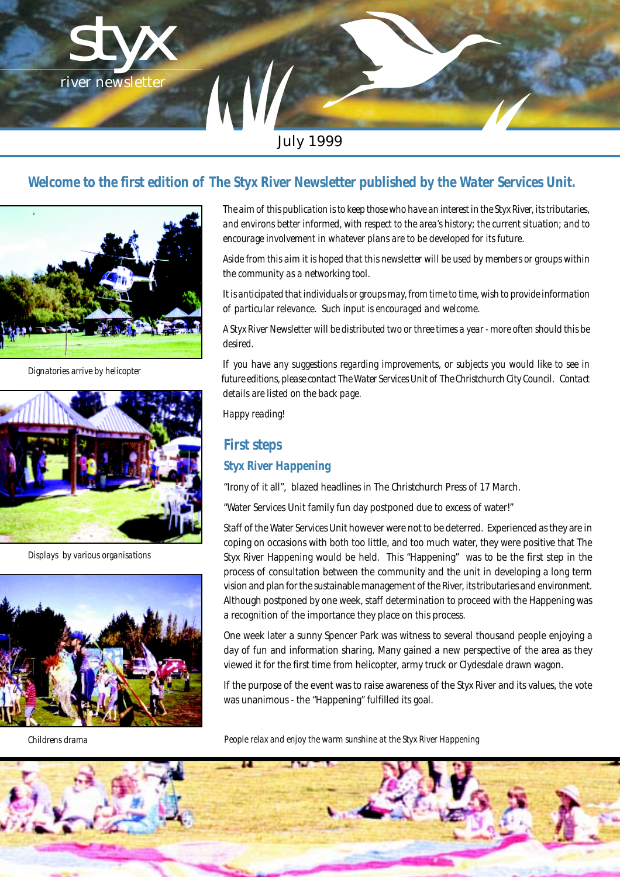

# *Welcome to the first edition of The Styx River Newsletter published by the Water Services Unit.*



*Dignatories arrive by helicopter*



*Displays by various organisations*



*The aim of this publication is to keep those who have an interest in the Styx River, its tributaries, and environs better informed, with respect to the area's history; the current situation; and to encourage involvement in whatever plans are to be developed for its future.*

*Aside from this aim it is hoped that this newsletter will be used by members or groups within the community as a networking tool.*

*It is anticipated that individuals or groups may, from time to time, wish to provide information of particular relevance. Such input is encouraged and welcome.*

*A Styx River Newsletter will be distributed two or three times a year - more often should this be desired.*

*If you have any suggestions regarding improvements, or subjects you would like to see in future editions, please contact The Water Services Unit of The Christchurch City Council. Contact details are listed on the back page.*

#### *Happy reading!*

# *First steps Styx River Happening*

"Irony of it all", blazed headlines in The Christchurch Press of 17 March.

"Water Services Unit family fun day postponed due to excess of water!"

Staff of the Water Services Unit however were not to be deterred. Experienced as they are in coping on occasions with both too little, and too much water, they were positive that The Styx River Happening would be held. This "Happening" was to be the first step in the process of consultation between the community and the unit in developing a long term vision and plan for the sustainable management of the River, its tributaries and environment. Although postponed by one week, staff determination to proceed with the Happening was a recognition of the importance they place on this process.

One week later a sunny Spencer Park was witness to several thousand people enjoying a day of fun and information sharing. Many gained a new perspective of the area as they viewed it for the first time from helicopter, army truck or Clydesdale drawn wagon.

If the purpose of the event was to raise awareness of the Styx River and its values, the vote was unanimous - the "Happening" fulfilled its goal.

*Childrens drama People relax and enjoy the warm sunshine at the Styx River Happening*

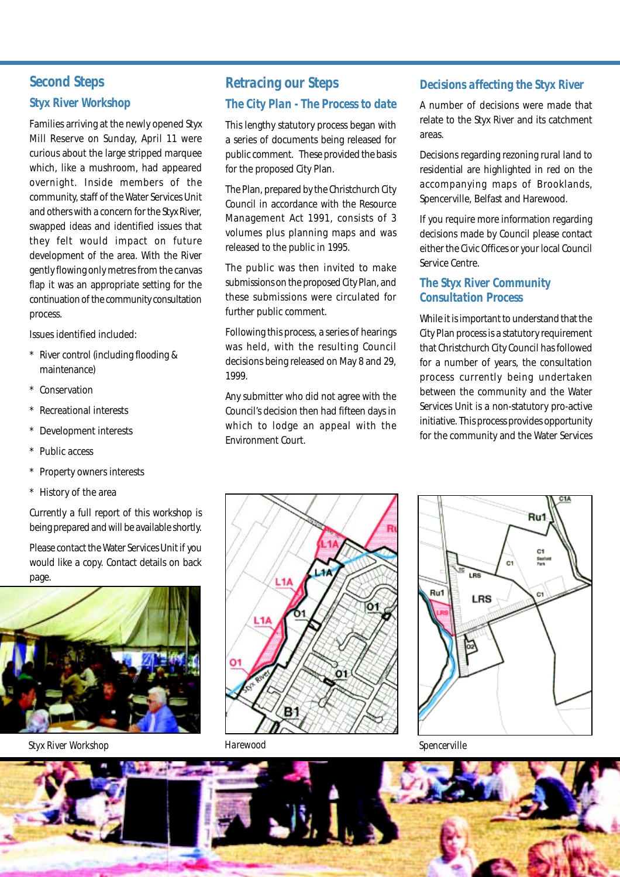# *Second Steps Styx River Workshop*

Families arriving at the newly opened Styx Mill Reserve on Sunday, April 11 were curious about the large stripped marquee which, like a mushroom, had appeared overnight. Inside members of the community, staff of the Water Services Unit and others with a concern for the Styx River, swapped ideas and identified issues that they felt would impact on future development of the area. With the River gently flowing only metres from the canvas flap it was an appropriate setting for the continuation of the community consultation process.

Issues identified included:

- River control (including flooding & maintenance)
- **Conservation**
- Recreational interests
- Development interests
- Public access
- Property owners interests
- \* History of the area

Currently a full report of this workshop is being prepared and will be available shortly.

Please contact the Water Services Unit if you would like a copy. Contact details on back page.



*Styx River Workshop Harewood Spencerville*

## *Retracing our Steps The City Plan - The Process to date*

This lengthy statutory process began with a series of documents being released for public comment. These provided the basis for the proposed City Plan.

The Plan, prepared by the Christchurch City Council in accordance with the Resource Management Act 1991, consists of 3 volumes plus planning maps and was released to the public in 1995.

The public was then invited to make submissions on the proposed City Plan, and these submissions were circulated for further public comment.

Following this process, a series of hearings was held, with the resulting Council decisions being released on May 8 and 29, 1999.

Any submitter who did not agree with the Council's decision then had fifteen days in which to lodge an appeal with the Environment Court.

## *Decisions affecting the Styx River*

A number of decisions were made that relate to the Styx River and its catchment areas.

Decisions regarding rezoning rural land to residential are highlighted in red on the accompanying maps of Brooklands, Spencerville, Belfast and Harewood.

If you require more information regarding decisions made by Council please contact either the Civic Offices or your local Council Service Centre.

### *The Styx River Community Consultation Process*

While it is important to understand that the City Plan process is a statutory requirement that Christchurch City Council has followed for a number of years, the consultation process currently being undertaken between the community and the Water Services Unit is a non-statutory pro-active initiative. This process provides opportunity for the community and the Water Services





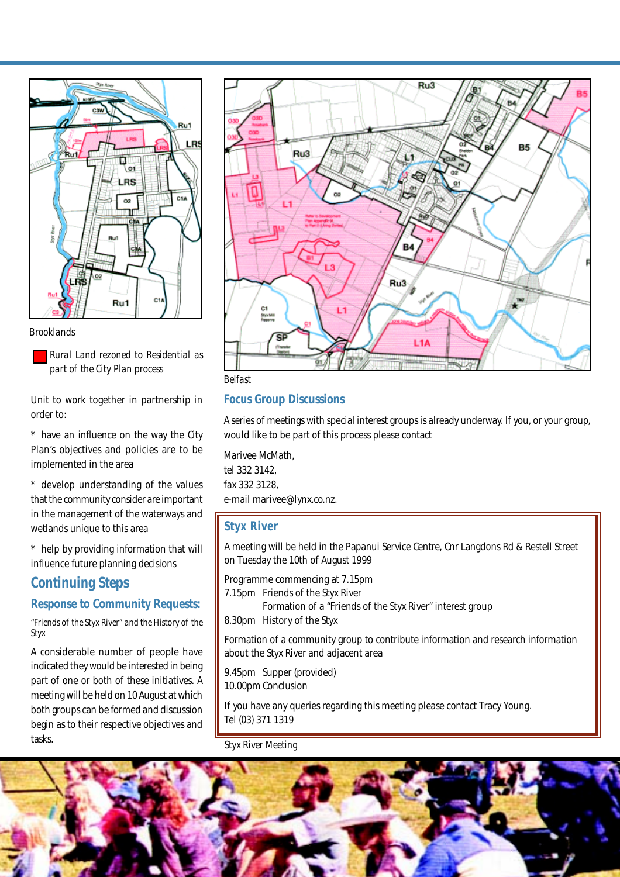

#### *Brooklands*

*Rural Land rezoned to Residential as part of the City Plan process*

Unit to work together in partnership in order to:

\* have an influence on the way the City Plan's objectives and policies are to be implemented in the area

\* develop understanding of the values that the community consider are important in the management of the waterways and wetlands unique to this area

\* help by providing information that will influence future planning decisions

## *Continuing Steps*

## *Response to Community Requests:*

*"Friends of the Styx River" and the History of the Styx*

A considerable number of people have indicated they would be interested in being part of one or both of these initiatives. A meeting will be held on 10 August at which both groups can be formed and discussion begin as to their respective objectives and tasks.





#### *Focus Group Discussions*

A series of meetings with special interest groups is already underway. If you, or your group, would like to be part of this process please contact

Marivee McMath, tel 332 3142, fax 332 3128, e-mail marivee@lynx.co.nz.

#### *Styx River*

A meeting will be held in the Papanui Service Centre, Cnr Langdons Rd & Restell Street on Tuesday the 10th of August 1999

Programme commencing at 7.15pm

7.15pm Friends of the Styx River

Formation of a "Friends of the Styx River" interest group

8.30pm History of the Styx

Formation of a community group to contribute information and research information about the Styx River and adjacent area

9.45pm Supper (provided) 10.00pm Conclusion

If you have any queries regarding this meeting please contact Tracy Young. Tel (03) 371 1319

#### *Styx River Meeting*